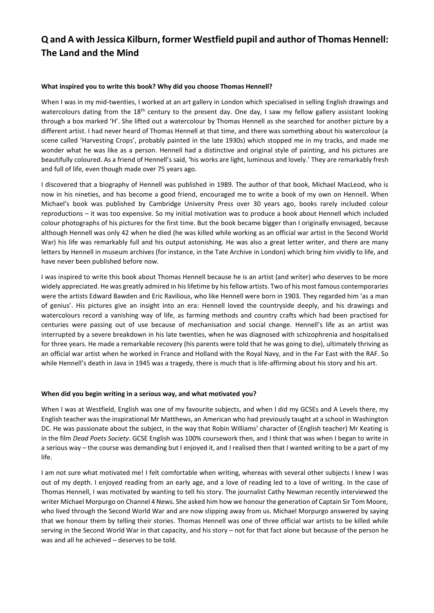## **Q and A with Jessica Kilburn, former Westfield pupil and author of Thomas Hennell: The Land and the Mind**

#### **What inspired you to write this book? Why did you choose Thomas Hennell?**

When I was in my mid-twenties, I worked at an art gallery in London which specialised in selling English drawings and watercolours dating from the 18<sup>th</sup> century to the present day. One day, I saw my fellow gallery assistant looking through a box marked 'H'. She lifted out a watercolour by Thomas Hennell as she searched for another picture by a different artist. I had never heard of Thomas Hennell at that time, and there was something about his watercolour (a scene called 'Harvesting Crops', probably painted in the late 1930s) which stopped me in my tracks, and made me wonder what he was like as a person. Hennell had a distinctive and original style of painting, and his pictures are beautifully coloured. As a friend of Hennell's said, 'his works are light, luminous and lovely.' They are remarkably fresh and full of life, even though made over 75 years ago.

I discovered that a biography of Hennell was published in 1989. The author of that book, Michael MacLeod, who is now in his nineties, and has become a good friend, encouraged me to write a book of my own on Hennell. When Michael's book was published by Cambridge University Press over 30 years ago, books rarely included colour reproductions – it was too expensive. So my initial motivation was to produce a book about Hennell which included colour photographs of his pictures for the first time. But the book became bigger than I originally envisaged, because although Hennell was only 42 when he died (he was killed while working as an official war artist in the Second World War) his life was remarkably full and his output astonishing. He was also a great letter writer, and there are many letters by Hennell in museum archives (for instance, in the Tate Archive in London) which bring him vividly to life, and have never been published before now.

I was inspired to write this book about Thomas Hennell because he is an artist (and writer) who deserves to be more widely appreciated. He was greatly admired in his lifetime by his fellow artists. Two of his most famous contemporaries were the artists Edward Bawden and Eric Ravilious, who like Hennell were born in 1903. They regarded him 'as a man of genius'. His pictures give an insight into an era: Hennell loved the countryside deeply, and his drawings and watercolours record a vanishing way of life, as farming methods and country crafts which had been practised for centuries were passing out of use because of mechanisation and social change. Hennell's life as an artist was interrupted by a severe breakdown in his late twenties, when he was diagnosed with schizophrenia and hospitalised for three years. He made a remarkable recovery (his parents were told that he was going to die), ultimately thriving as an official war artist when he worked in France and Holland with the Royal Navy, and in the Far East with the RAF. So while Hennell's death in Java in 1945 was a tragedy, there is much that is life-affirming about his story and his art.

#### **When did you begin writing in a serious way, and what motivated you?**

When I was at Westfield, English was one of my favourite subjects, and when I did my GCSEs and A Levels there, my English teacher was the inspirational Mr Matthews, an American who had previously taught at a school in Washington DC. He was passionate about the subject, in the way that Robin Williams' character of (English teacher) Mr Keating is in the film *Dead Poets Society*. GCSE English was 100% coursework then, and I think that was when I began to write in a serious way – the course was demanding but I enjoyed it, and I realised then that I wanted writing to be a part of my life.

I am not sure what motivated me! I felt comfortable when writing, whereas with several other subjects I knew I was out of my depth. I enjoyed reading from an early age, and a love of reading led to a love of writing. In the case of Thomas Hennell, I was motivated by wanting to tell his story. The journalist Cathy Newman recently interviewed the writer Michael Morpurgo on Channel 4 News. She asked him how we honour the generation of Captain Sir Tom Moore, who lived through the Second World War and are now slipping away from us. Michael Morpurgo answered by saying that we honour them by telling their stories. Thomas Hennell was one of three official war artists to be killed while serving in the Second World War in that capacity, and his story – not for that fact alone but because of the person he was and all he achieved – deserves to be told.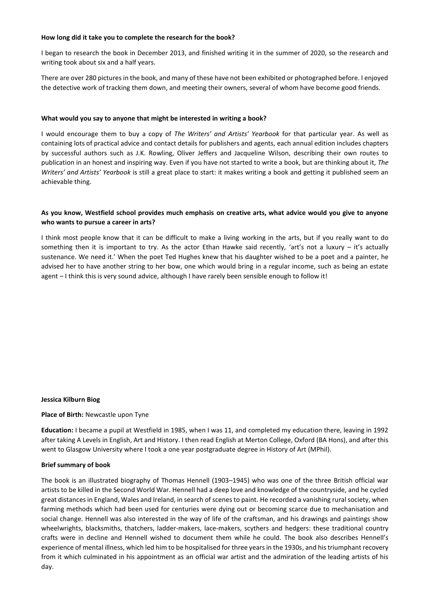#### **How long did it take you to complete the research for the book?**

I began to research the book in December 2013, and finished writing it in the summer of 2020, so the research and writing took about six and a half years.

There are over 280 pictures in the book, and many of these have not been exhibited or photographed before. I enjoyed the detective work of tracking them down, and meeting their owners, several of whom have become good friends.

#### **What would you say to anyone that might be interested in writing a book?**

I would encourage them to buy a copy of *The Writers' and Artists' Yearbook* for that particular year. As well as containing lots of practical advice and contact details for publishers and agents, each annual edition includes chapters by successful authors such as J.K. Rowling, Oliver Jeffers and Jacqueline Wilson, describing their own routes to publication in an honest and inspiring way. Even if you have not started to write a book, but are thinking about it, *The Writers' and Artists' Yearbook* is still a great place to start: it makes writing a book and getting it published seem an achievable thing.

#### **As you know, Westfield school provides much emphasis on creative arts, what advice would you give to anyone who wants to pursue a career in arts?**

I think most people know that it can be difficult to make a living working in the arts, but if you really want to do something then it is important to try. As the actor Ethan Hawke said recently, 'art's not a luxury – it's actually sustenance. We need it.' When the poet Ted Hughes knew that his daughter wished to be a poet and a painter, he advised her to have another string to her bow, one which would bring in a regular income, such as being an estate agent – I think this is very sound advice, although I have rarely been sensible enough to follow it!

#### **Jessica Kilburn Biog**

#### **Place of Birth:** Newcastle upon Tyne

**Education:** I became a pupil at Westfield in 1985, when I was 11, and completed my education there, leaving in 1992 after taking A Levels in English, Art and History. I then read English at Merton College, Oxford (BA Hons), and after this went to Glasgow University where I took a one year postgraduate degree in History of Art (MPhil).

#### **Brief summary of book**

The book is an illustrated biography of Thomas Hennell (1903–1945) who was one of the three British official war artists to be killed in the Second World War. Hennell had a deep love and knowledge of the countryside, and he cycled great distances in England, Wales and Ireland, in search of scenes to paint. He recorded a vanishing rural society, when farming methods which had been used for centuries were dying out or becoming scarce due to mechanisation and social change. Hennell was also interested in the way of life of the craftsman, and his drawings and paintings show wheelwrights, blacksmiths, thatchers, ladder-makers, lace-makers, scythers and hedgers: these traditional country crafts were in decline and Hennell wished to document them while he could. The book also describes Hennell's experience of mental illness, which led him to be hospitalised for three years in the 1930s, and his triumphant recovery from it which culminated in his appointment as an official war artist and the admiration of the leading artists of his day.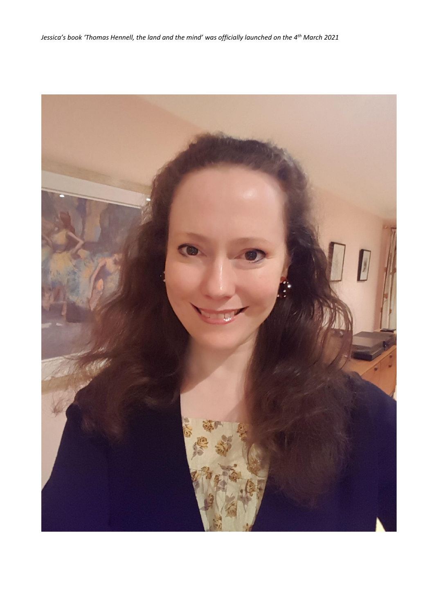